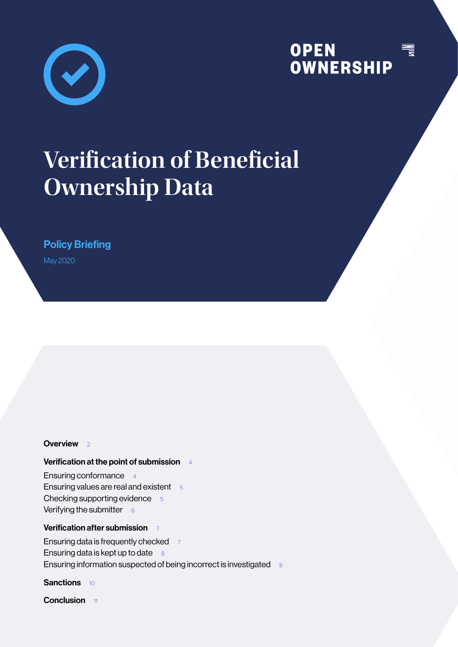

## **OPEN<br>OWNERSHIP** WILL

# **Veri!cation of Bene!cial Ownership Data**

Policy Briefing

May 2020

#### **Overview**

#### Verification at the point of submission 4

Ensuring conformance 4 Ensuring values are real and existent 5 Checking supporting evidence 5 Verifying the submitter  $66$ 

#### Verification after submission 7

Ensuring data is frequently checked 7 Ensuring data is kept up to date  $8$ Ensuring information suspected of being incorrect is investigated 8

Sanctions 10

Conclusion 11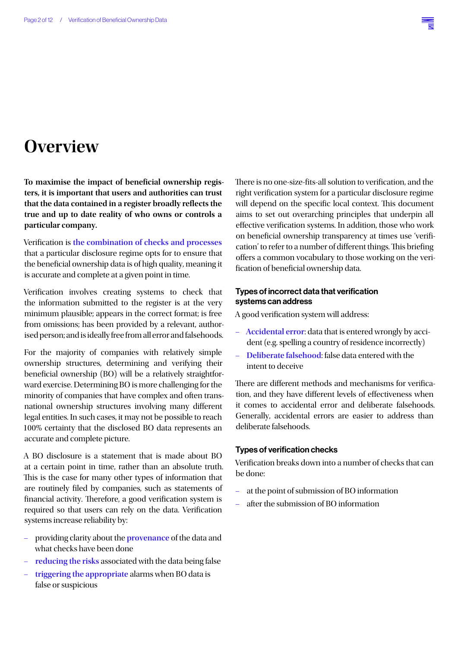## **Overview**

To maximise the impact of beneficial ownership regis**ters, it is important that users and authorities can trust that the data contained in a register broadly re"ects the true and up to date reality of who owns or controls a particular company.**

Verification is the combination of checks and processes that a particular disclosure regime opts for to ensure that the beneficial ownership data is of high quality, meaning it is accurate and complete at a given point in time.

Verification involves creating systems to check that the information submitted to the register is at the very minimum plausible; appears in the correct format; is free from omissions; has been provided by a relevant, authorised person; and is ideally free from all error and falsehoods.

For the majority of companies with relatively simple ownership structures, determining and verifying their beneficial ownership (BO) will be a relatively straightforward exercise. Determining BO is more challenging for the minority of companies that have complex and often transnational ownership structures involving many different legal entities. In such cases, it may not be possible to reach 100% certainty that the disclosed BO data represents an accurate and complete picture.

A BO disclosure is a statement that is made about BO at a certain point in time, rather than an absolute truth. This is the case for many other types of information that are routinely filed by companies, such as statements of financial activity. Therefore, a good verification system is required so that users can rely on the data. Verification systems increase reliability by:

- providing clarity about the **provenance** of the data and what checks have been done
- **reducing the risks** associated with the data being false
- **triggering the appropriate** alarms when BO data is false or suspicious

There is no one-size-fits-all solution to verification, and the right verification system for a particular disclosure regime will depend on the specific local context. This document aims to set out overarching principles that underpin all effective verification systems. In addition, those who work on beneficial ownership transparency at times use 'verification' to refer to a number of different things. This briefing offers a common vocabulary to those working on the verification of beneficial ownership data.

#### Types of incorrect data that verification systems can address

A good verification system will address:

- **Accidental error**: data that is entered wrongly by accident (e.g. spelling a country of residence incorrectly)
- **Deliberate falsehood**: false data entered with the intent to deceive

There are different methods and mechanisms for verification, and they have different levels of effectiveness when it comes to accidental error and deliberate falsehoods. Generally, accidental errors are easier to address than deliberate falsehoods.

#### Types of verification checks

Verification breaks down into a number of checks that can be done:

- at the point of submission of BO information
- after the submission of BO information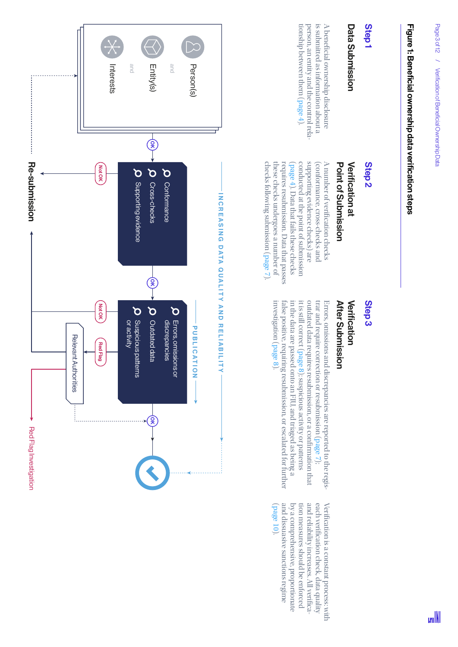# Figure 1: Beneficial ownership data verification steps Figure 1: Beneficial ownership data verification steps

# Step 1

# Data Submission Data Submission

is submitted as information about a tionship between them (person, an entity and the control relaperson, an entity and the control rela is submitted as information about a A bene!cial ownership disclosure page 4).

# Step 2

# **Verification at** Point of Submission Point of Submission Verification at

I C R C A La C and C and A number of veriA number of verification checks cation checks ( page 4conducted at the point of submission supporting evidence checks) are (conformance, cross-checks and ). Data that fails these checks checks following submission ( these checks undergoes a number of requires resubmission. Data that passes page 7). requires resubmission. Data that passes<br>these checks undergoes a number of

# Step 3

### **After Submission** After Submission Verification Verification

P U B L I DON I PIERRE Y A N D R E L I A B I L I T Y Errors, omissions and discrepancies are reported to the registrar and require correction or resubmission (page 7); outdated data requires resubmission, or a con= rmation that it is still correct (page 8); suspicious activity or patterns investigation ( false positive, requiring resubmission, or escalated for further in the data are passed onto an FIU, and triaged as being a page 8). investig:

and dissuasive sanctions regime by a comprehensive, proportionate tion measures should be enforced ( page and dissuasive sanctions regime by a comprehensive, proportionate tion measures should be enforced and reliability increases. All verieach verifi Veri!cation is a constant process: with 10). cation check, data quality !ca-

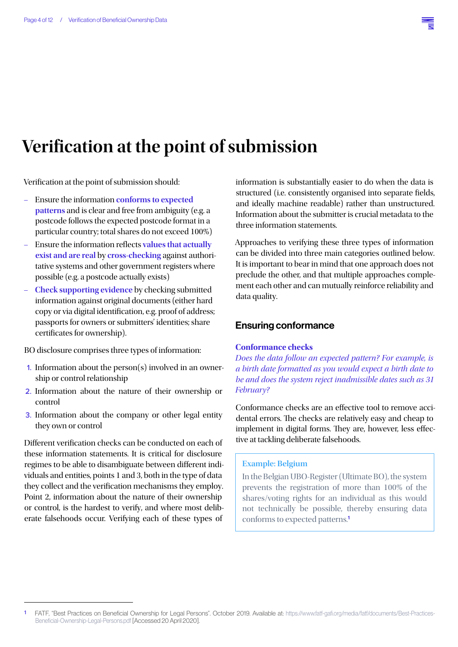

# **Veri!cation at the point of submission**

Verification at the point of submission should:

- Ensure the information **conforms to expected patterns** and is clear and free from ambiguity (e.g. a postcode follows the expected postcode format in a particular country; total shares do not exceed 100%)
- Ensure the information reflects values that actually **exist and are real** by **cross-checking** against authoritative systems and other government registers where possible (e.g. a postcode actually exists)
- **Check supporting evidence** by checking submitted information against original documents (either hard copy or via digital identification, e.g. proof of address; passports for owners or submitters' identities; share certificates for ownership).

BO disclosure comprises three types of information:

- 1. Information about the person(s) involved in an ownership or control relationship
- 2. Information about the nature of their ownership or control
- 3. Information about the company or other legal entity they own or control

Different verification checks can be conducted on each of these information statements. It is critical for disclosure regimes to be able to disambiguate between different individuals and entities, points 1 and 3, both in the type of data they collect and the verification mechanisms they employ. Point 2, information about the nature of their ownership or control, is the hardest to verify, and where most deliberate falsehoods occur. Verifying each of these types of

information is substantially easier to do when the data is structured (i.e. consistently organised into separate fields, and ideally machine readable) rather than unstructured. Information about the submitter is crucial metadata to the three information statements.

Approaches to verifying these three types of information can be divided into three main categories outlined below. It is important to bear in mind that one approach does not preclude the other, and that multiple approaches complement each other and can mutually reinforce reliability and data quality.

#### Ensuring conformance

#### **Conformance checks**

*Does the data follow an expected pattern? For example, is a birth date formatted as you would expect a birth date to be and does the system reject inadmissible dates such as 31 February?*

Conformance checks are an effective tool to remove accidental errors. The checks are relatively easy and cheap to implement in digital forms. They are, however, less effective at tackling deliberate falsehoods.

#### **Example: Belgium**

In the Belgian UBO-Register (Ultimate BO), the system prevents the registration of more than 100% of the shares/voting rights for an individual as this would not technically be possible, thereby ensuring data conforms to expected patterns.1

<sup>1</sup> FATF, "Best Practices on Beneficial Ownership for Legal Persons". October 2019. Available at: https://www.fatf-gafi.org/media/fatf/documents/Best-Practices-Beneficial-Ownership-Legal-Persons.pdf [Accessed 20 April 2020].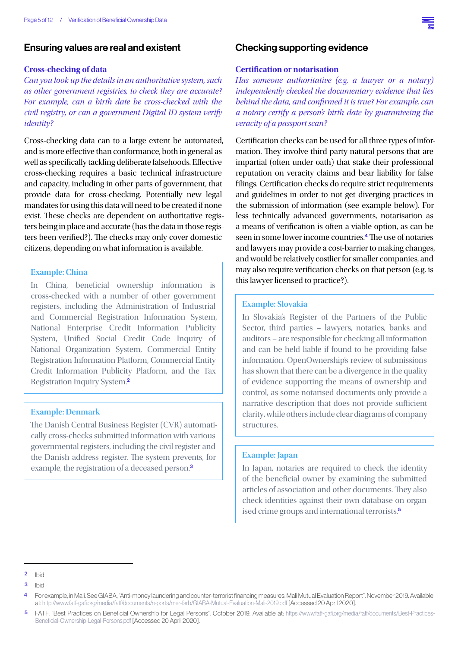#### Ensuring values are real and existent

#### **Cross-checking of data**

*Can you look up the details in an authoritative system, such as other government registries, to check they are accurate? For example, can a birth date be cross-checked with the civil registry, or can a government Digital ID system verify identity?*

Cross-checking data can to a large extent be automated, and is more effective than conformance, both in general as well as specifically tackling deliberate falsehoods. Effective cross-checking requires a basic technical infrastructure and capacity, including in other parts of government, that provide data for cross-checking. Potentially new legal mandates for using this data will need to be created if none exist. These checks are dependent on authoritative registers being in place and accurate (has the data in those registers been verified?). The checks may only cover domestic citizens, depending on what information is available.

#### **Example: China**

In China, beneficial ownership information is cross-checked with a number of other government registers, including the Administration of Industrial and Commercial Registration Information System, National Enterprise Credit Information Publicity System, Unified Social Credit Code Inquiry of National Organization System, Commercial Entity Registration Information Platform, Commercial Entity Credit Information Publicity Platform, and the Tax Registration Inquiry System.<sup>2</sup>

#### **Example: Denmark**

The Danish Central Business Register (CVR) automatically cross-checks submitted information with various governmental registers, including the civil register and the Danish address register. The system prevents, for example, the registration of a deceased person.<sup>3</sup>

#### Checking supporting evidence

#### **Certi!cation or notarisation**

*Has someone authoritative (e.g. a lawyer or a notary) independently checked the documentary evidence that lies behind the data, and confirmed it is true? For example, can a notary certify a person's birth date by guaranteeing the veracity of a passport scan?*

Certification checks can be used for all three types of information. They involve third party natural persons that are impartial (often under oath) that stake their professional reputation on veracity claims and bear liability for false filings. Certification checks do require strict requirements and guidelines in order to not get diverging practices in the submission of information (see example below). For less technically advanced governments, notarisation as a means of verification is often a viable option, as can be seen in some lower income countries.<sup>4</sup> The use of notaries and lawyers may provide a cost-barrier to making changes, and would be relatively costlier for smaller companies, and may also require verification checks on that person (e.g. is this lawyer licensed to practice?).

#### **Example: Slovakia**

In Slovakia's Register of the Partners of the Public Sector, third parties – lawyers, notaries, banks and auditors – are responsible for checking all information and can be held liable if found to be providing false information. OpenOwnership's review of submissions has shown that there can be a divergence in the quality of evidence supporting the means of ownership and control, as some notarised documents only provide a narrative description that does not provide sufficient clarity, while others include clear diagrams of company structures.

#### **Example: Japan**

In Japan, notaries are required to check the identity of the beneficial owner by examining the submitted articles of association and other documents. They also check identities against their own database on organised crime groups and international terrorists.<sup>5</sup>



<sup>2</sup> Ihid

<sup>3</sup> Ibid

<sup>4</sup> For example, in Mali. See GIABA, "Anti-money laundering and counter-terrorist financing measures. Mali Mutual Evaluation Report". November 2019. Available at: http://www.fatf-gafi.org/media/fatf/documents/reports/mer-fsrb/GIABA-Mutual-Evaluation-Mali-2019.pdf [Accessed 20 April 2020].

<sup>5</sup> FATF, "Best Practices on Beneficial Ownership for Legal Persons". October 2019. Available at: https://www.fatf-gafi.org/media/fatf/documents/Best-Practices-Beneficial-Ownership-Legal-Persons.pdf [Accessed 20 April 2020].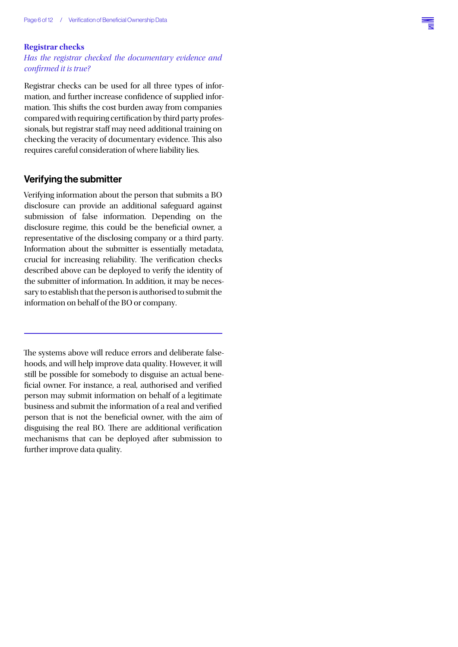#### **Registrar checks**

#### *Has the registrar checked the documentary evidence and con*!*rmed it is true?*

Registrar checks can be used for all three types of information, and further increase confidence of supplied information. This shifts the cost burden away from companies compared with requiring certification by third party professionals, but registrar staff may need additional training on checking the veracity of documentary evidence. This also requires careful consideration of where liability lies.

#### Verifying the submitter

Verifying information about the person that submits a BO disclosure can provide an additional safeguard against submission of false information. Depending on the disclosure regime, this could be the beneficial owner, a representative of the disclosing company or a third party. Information about the submitter is essentially metadata, crucial for increasing reliability. The verification checks described above can be deployed to verify the identity of the submitter of information. In addition, it may be necessary to establish that the person is authorised to submit the information on behalf of the BO or company.

The systems above will reduce errors and deliberate falsehoods, and will help improve data quality. However, it will still be possible for somebody to disguise an actual bene ficial owner. For instance, a real, authorised and verified person may submit information on behalf of a legitimate business and submit the information of a real and verified person that is not the beneficial owner, with the aim of disguising the real BO. There are additional verification mechanisms that can be deployed after submission to further improve data quality.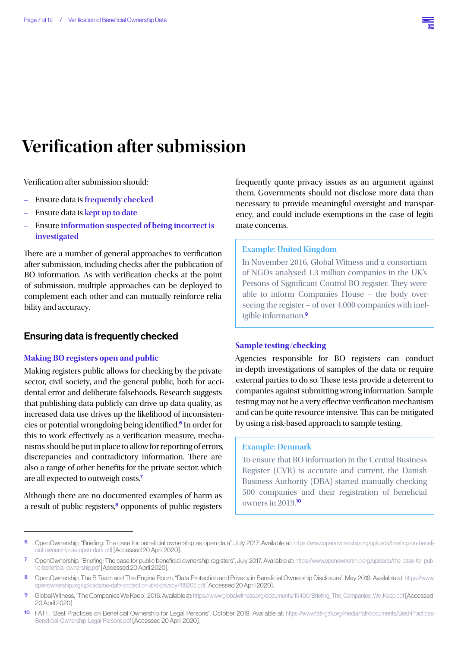## **Veri!cation after submission**

Verification after submission should:

- Ensure data is **frequently checked**
- Ensure data is **kept up to date**
- Ensure **information suspected of being incorrect is investigated**

There are a number of general approaches to verification after submission, including checks after the publication of BO information. As with verification checks at the point of submission, multiple approaches can be deployed to complement each other and can mutually reinforce reliability and accuracy.

#### Ensuring data is frequently checked

#### **Making BO registers open and public**

Making registers public allows for checking by the private sector, civil society, and the general public, both for accidental error and deliberate falsehoods. Research suggests that publishing data publicly can drive up data quality, as increased data use drives up the likelihood of inconsistencies or potential wrongdoing being identified.<sup>6</sup> In order for this to work effectively as a verification measure, mechanisms should be put in place to allow for reporting of errors, discrepancies and contradictory information. There are also a range of other benefits for the private sector, which are all expected to outweigh costs.<sup>7</sup>

Although there are no documented examples of harm as a result of public registers, $\frac{8}{2}$  opponents of public registers

frequently quote privacy issues as an argument against them. Governments should not disclose more data than necessary to provide meaningful oversight and transparency, and could include exemptions in the case of legitimate concerns.

#### **Example: United Kingdom**

In November 2016, Global Witness and a consortium of NGOs analysed 1.3 million companies in the UK's Persons of Significant Control BO register. They were able to inform Companies House – the body overseeing the register – of over 4,000 companies with ineligible information.<sup>9</sup>

#### **Sample testing/checking**

Agencies responsible for BO registers can conduct in-depth investigations of samples of the data or require external parties to do so. These tests provide a deterrent to companies against submitting wrong information. Sample testing may not be a very effective verification mechanism and can be quite resource intensive. This can be mitigated by using a risk-based approach to sample testing.

#### **Example: Denmark**

To ensure that BO information in the Central Business Register (CVR) is accurate and current, the Danish Business Authority (DBA) started manually checking 500 companies and their registration of beneficial owners in 2019.10

<sup>6</sup> OpenOwnership, "Briefing: The case for beneficial ownership as open data". July 2017. Available at: https://www.openownership.org/uploads/briefing-on-beneficial-ownership-as-open-data.pdf [Accessed 20 April 2020].

<sup>7</sup> OpenOwnership, "Briefing: The case for public beneficial ownership registers". July 2017. Available at: https://www.openownership.org/uploads/the-case-for-public-beneficial-ownership.pdf [Accessed 20 April 2020].

<sup>8</sup> OpenOwnership, The B Team and The Engine Room, "Data Protection and Privacy in Beneficial Ownership Disclosure". May 2019. Available at: https://www. openownership.org/uploads/oo-data-protection-and-privacy-188205.pdf [Accessed 20 April 2020].

Global Witness, "The Companies We Keep". 2016. Available at: https://www.globalwitness.org/documents/19400/Briefing\_The\_Companies\_We\_Keep.pdf [Accessed 20 April 2020].

<sup>10</sup> FATF, "Best Practices on Beneficial Ownership for Legal Persons". October 2019. Available at: https://www.fatf-gafi.org/media/fatf/documents/Best-Practices-Beneficial-Ownership-Legal-Persons.pdf [Accessed 20 April 2020].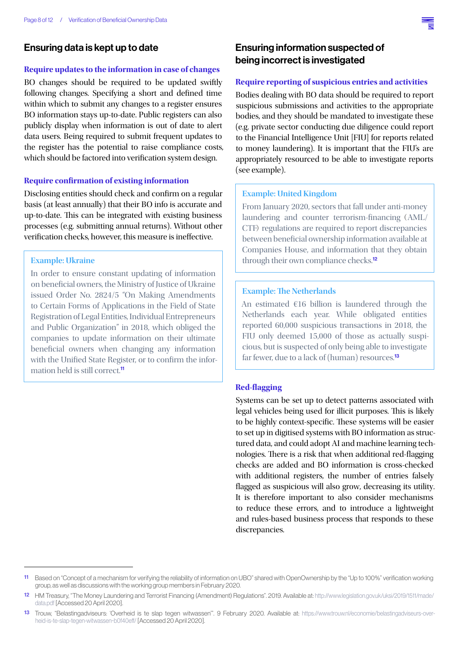#### Ensuring data is kept up to date

#### **Require updates to the information in case of changes**

BO changes should be required to be updated swiftly following changes. Specifying a short and defined time within which to submit any changes to a register ensures BO information stays up-to-date. Public registers can also publicly display when information is out of date to alert data users. Being required to submit frequent updates to the register has the potential to raise compliance costs, which should be factored into verification system design.

#### **Require con!rmation of existing information**

Disclosing entities should check and confirm on a regular basis (at least annually) that their BO info is accurate and up-to-date. This can be integrated with existing business processes (e.g. submitting annual returns). Without other verification checks, however, this measure is ineffective.

#### **Example: Ukraine**

In order to ensure constant updating of information on beneficial owners, the Ministry of Justice of Ukraine issued Order No. 2824/5 "On Making Amendments to Certain Forms of Applications in the Field of State Registration of Legal Entities, Individual Entrepreneurs and Public Organization" in 2018, which obliged the companies to update information on their ultimate beneficial owners when changing any information with the Unified State Register, or to confirm the information held is still correct.<sup>11</sup>

#### Ensuring information suspected of being incorrect is investigated

#### **Require reporting of suspicious entries and activities**

Bodies dealing with BO data should be required to report suspicious submissions and activities to the appropriate bodies, and they should be mandated to investigate these (e.g. private sector conducting due diligence could report to the Financial Intelligence Unit [FIU] for reports related to money laundering). It is important that the FIU's are appropriately resourced to be able to investigate reports (see example).

#### **Example: United Kingdom**

From January 2020, sectors that fall under anti-money laundering and counter terrorism-financing (AML/ CTF) regulations are required to report discrepancies between beneficial ownership information available at Companies House, and information that they obtain through their own compliance checks.<sup>12</sup>

#### **Example: The Netherlands**

An estimated €16 billion is laundered through the Netherlands each year. While obligated entities reported 60,000 suspicious transactions in 2018, the FIU only deemed 15,000 of those as actually suspicious, but is suspected of only being able to investigate far fewer, due to a lack of (human) resources.<sup>13</sup>

#### **Red-"agging**

Systems can be set up to detect patterns associated with legal vehicles being used for illicit purposes. This is likely to be highly context-specific. These systems will be easier to set up in digitised systems with BO information as structured data, and could adopt AI and machine learning technologies. There is a risk that when additional red-flagging checks are added and BO information is cross-checked with additional registers, the number of entries falsely flagged as suspicious will also grow, decreasing its utility. It is therefore important to also consider mechanisms to reduce these errors, and to introduce a lightweight and rules-based business process that responds to these discrepancies.



<sup>11</sup> Based on "Concept of a mechanism for verifying the reliability of information on UBO" shared with OpenOwnership by the "Up to 100%" verification working group, as well as discussions with the working group members in February 2020.

<sup>12</sup> HM Treasury, "The Money Laundering and Terrorist Financing (Amendment) Regulations". 2019. Available at: http://www.legislation.gov.uk/uksi/2019/1511/made/ data.pdf [Accessed 20 April 2020].

<sup>13</sup> Trouw, "Belastingadviseurs: 'Overheid is te slap tegen witwassen'". 9 February 2020. Available at: https://www.trouw.nl/economie/belastingadviseurs-overheid-is-te-slap-tegen-witwassen~b0f40eff/ [Accessed 20 April 2020].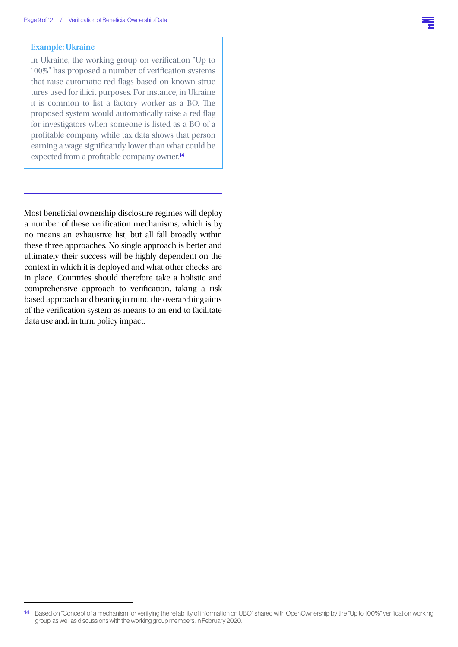#### **Example: Ukraine**

In Ukraine, the working group on verification "Up to  $100\%$ " has proposed a number of verification systems that raise automatic red flags based on known structures used for illicit purposes. For instance, in Ukraine it is common to list a factory worker as a BO. The proposed system would automatically raise a red flag for investigators when someone is listed as a BO of a profitable company while tax data shows that person earning a wage significantly lower than what could be expected from a profitable company owner.<sup>14</sup>

Most beneficial ownership disclosure regimes will deploy a number of these verification mechanisms, which is by no means an exhaustive list, but all fall broadly within these three approaches. No single approach is better and ultimately their success will be highly dependent on the context in which it is deployed and what other checks are in place. Countries should therefore take a holistic and comprehensive approach to verification, taking a riskbased approach and bearing in mind the overarching aims of the verification system as means to an end to facilitate data use and, in turn, policy impact.

<sup>14</sup> Based on "Concept of a mechanism for verifying the reliability of information on UBO" shared with OpenOwnership by the "Up to 100%" verification working group, as well as discussions with the working group members, in February 2020.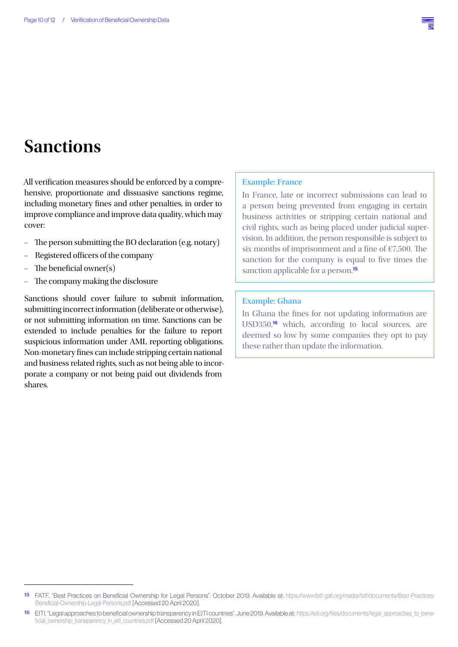## **Sanctions**

All verification measures should be enforced by a comprehensive, proportionate and dissuasive sanctions regime, including monetary fines and other penalties, in order to improve compliance and improve data quality, which may cover:

- The person submitting the BO declaration (e.g. notary)
- Registered officers of the company
- The beneficial owner(s)
- The company making the disclosure

Sanctions should cover failure to submit information, submitting incorrect information (deliberate or otherwise), or not submitting information on time. Sanctions can be extended to include penalties for the failure to report suspicious information under AML reporting obligations. Non-monetary fines can include stripping certain national and business related rights, such as not being able to incorporate a company or not being paid out dividends from shares.

#### **Example: France**

In France, late or incorrect submissions can lead to a person being prevented from engaging in certain business activities or stripping certain national and civil rights, such as being placed under judicial supervision. In addition, the person responsible is subject to six months of imprisonment and a fine of  $E$ 7,500. The sanction for the company is equal to five times the sanction applicable for a person.<sup>15</sup>

#### **Example: Ghana**

In Ghana the fines for not updating information are USD350,<sup>16</sup> which, according to local sources, are deemed so low by some companies they opt to pay these rather than update the information.

<sup>15</sup> FATF, "Best Practices on Beneficial Ownership for Legal Persons". October 2019. Available at: https://www.fatf-gafi.org/media/fatf/documents/Best-Practices-Beneficial-Ownership-Legal-Persons.pdf [Accessed 20 April 2020].

<sup>16</sup> EITI, "Legal approaches to beneficial ownership transparency in EITI countries". June 2019. Available at: https://eiti.org/files/documents/legal\_approaches\_to\_beneficial ownership transparency in eiti countries.pdf [Accessed 20 April 2020].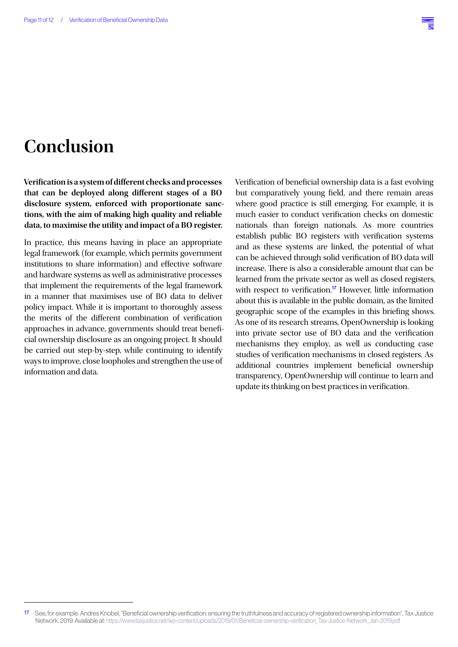# **Conclusion**

**Veri!cation is a system of di\$erent checks and processes**  that can be deployed along different stages of a BO **disclosure system, enforced with proportionate sanctions, with the aim of making high quality and reliable data, to maximise the utility and impact of a BO register.**

In practice, this means having in place an appropriate legal framework (for example, which permits government institutions to share information) and effective software and hardware systems as well as administrative processes that implement the requirements of the legal framework in a manner that maximises use of BO data to deliver policy impact. While it is important to thoroughly assess the merits of the different combination of verification approaches in advance, governments should treat beneficial ownership disclosure as an ongoing project. It should be carried out step-by-step, while continuing to identify ways to improve, close loopholes and strengthen the use of information and data.

Verification of beneficial ownership data is a fast evolving but comparatively young field, and there remain areas where good practice is still emerging. For example, it is much easier to conduct verification checks on domestic nationals than foreign nationals. As more countries establish public BO registers with verification systems and as these systems are linked, the potential of what can be achieved through solid verification of BO data will increase. There is also a considerable amount that can be learned from the private sector as well as closed registers, with respect to verification.<sup>17</sup> However, little information about this is available in the public domain, as the limited geographic scope of the examples in this briefing shows. As one of its research streams, OpenOwnership is looking into private sector use of BO data and the verification mechanisms they employ, as well as conducting case studies of verification mechanisms in closed registers. As additional countries implement beneficial ownership transparency, OpenOwnership will continue to learn and update its thinking on best practices in verification.

See, for example: Andres Knobel, "Beneficial ownership verification: ensuring the truthfulness and accuracy of registered ownership information", Tax Justice Network. 2019. Available at: https://www.taxiustice.net/wp-content/uploads/2019/01/Beneficial-ownership-verification\_Tax-Justice-Network\_Jan-2019.pdf